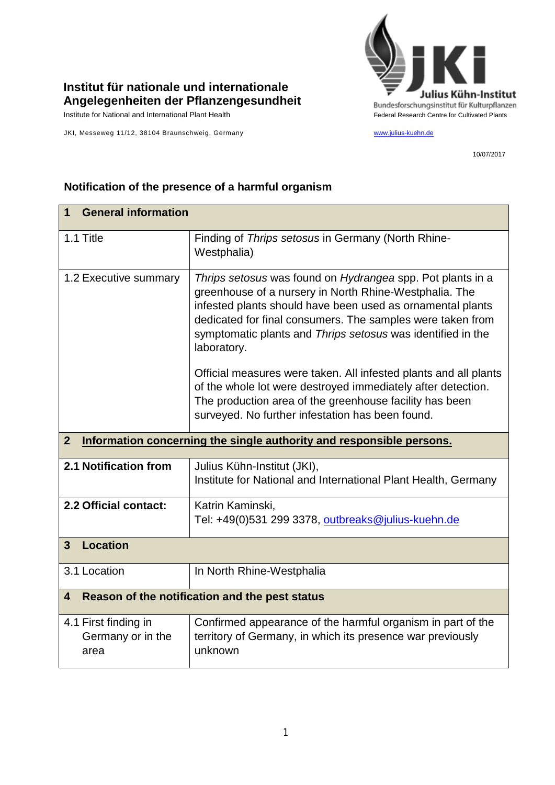

## **Institut für nationale und internationale Angelegenheiten der Pflanzengesundheit**

JKI, Messeweg 11/12, 38104 Braunschweig, Germany [www.julius-kuehn.de](http://www.julius-kuehn.de/)

10/07/2017

|                                                                                      | <b>General information</b><br>1                                                                                                                                                                                                                                                                                                |  |  |
|--------------------------------------------------------------------------------------|--------------------------------------------------------------------------------------------------------------------------------------------------------------------------------------------------------------------------------------------------------------------------------------------------------------------------------|--|--|
| 1.1 Title                                                                            | Finding of Thrips setosus in Germany (North Rhine-<br>Westphalia)                                                                                                                                                                                                                                                              |  |  |
| 1.2 Executive summary                                                                | Thrips setosus was found on Hydrangea spp. Pot plants in a<br>greenhouse of a nursery in North Rhine-Westphalia. The<br>infested plants should have been used as ornamental plants<br>dedicated for final consumers. The samples were taken from<br>symptomatic plants and Thrips setosus was identified in the<br>laboratory. |  |  |
|                                                                                      | Official measures were taken. All infested plants and all plants<br>of the whole lot were destroyed immediately after detection.<br>The production area of the greenhouse facility has been<br>surveyed. No further infestation has been found.                                                                                |  |  |
| Information concerning the single authority and responsible persons.<br>$\mathbf{2}$ |                                                                                                                                                                                                                                                                                                                                |  |  |
| 2.1 Notification from                                                                | Julius Kühn-Institut (JKI),<br>Institute for National and International Plant Health, Germany                                                                                                                                                                                                                                  |  |  |
| 2.2 Official contact:                                                                | Katrin Kaminski,<br>Tel: +49(0)531 299 3378, outbreaks@julius-kuehn.de                                                                                                                                                                                                                                                         |  |  |
| <b>Location</b><br>$\mathbf{3}$                                                      |                                                                                                                                                                                                                                                                                                                                |  |  |
| 3.1 Location                                                                         | In North Rhine-Westphalia                                                                                                                                                                                                                                                                                                      |  |  |
| Reason of the notification and the pest status<br>4                                  |                                                                                                                                                                                                                                                                                                                                |  |  |
| 4.1 First finding in<br>Germany or in the<br>area                                    | Confirmed appearance of the harmful organism in part of the<br>territory of Germany, in which its presence war previously<br>unknown                                                                                                                                                                                           |  |  |

## **Notification of the presence of a harmful organism**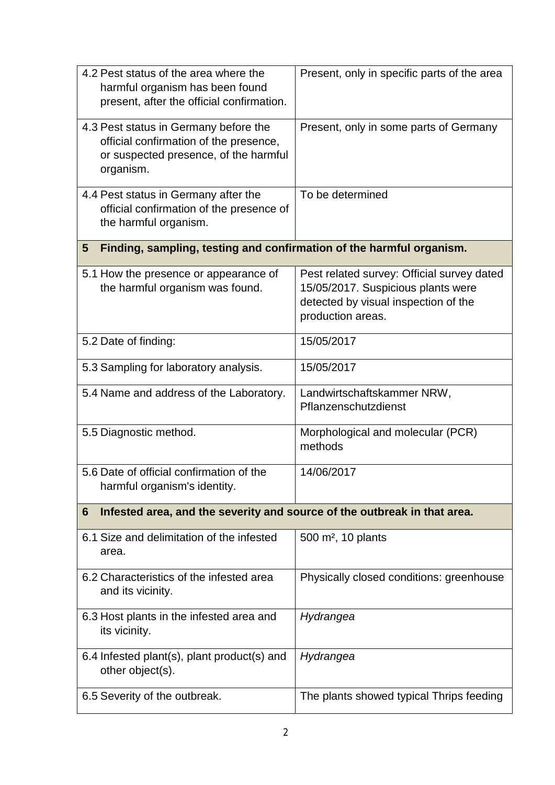| 4.2 Pest status of the area where the<br>harmful organism has been found<br>present, after the official confirmation.                 | Present, only in specific parts of the area                                                                                                   |  |  |
|---------------------------------------------------------------------------------------------------------------------------------------|-----------------------------------------------------------------------------------------------------------------------------------------------|--|--|
| 4.3 Pest status in Germany before the<br>official confirmation of the presence,<br>or suspected presence, of the harmful<br>organism. | Present, only in some parts of Germany                                                                                                        |  |  |
| 4.4 Pest status in Germany after the<br>official confirmation of the presence of<br>the harmful organism.                             | To be determined                                                                                                                              |  |  |
| Finding, sampling, testing and confirmation of the harmful organism.<br>5                                                             |                                                                                                                                               |  |  |
| 5.1 How the presence or appearance of<br>the harmful organism was found.                                                              | Pest related survey: Official survey dated<br>15/05/2017. Suspicious plants were<br>detected by visual inspection of the<br>production areas. |  |  |
| 5.2 Date of finding:                                                                                                                  | 15/05/2017                                                                                                                                    |  |  |
| 5.3 Sampling for laboratory analysis.                                                                                                 | 15/05/2017                                                                                                                                    |  |  |
| 5.4 Name and address of the Laboratory.                                                                                               | Landwirtschaftskammer NRW,<br>Pflanzenschutzdienst                                                                                            |  |  |
| 5.5 Diagnostic method.                                                                                                                | Morphological and molecular (PCR)<br>methods                                                                                                  |  |  |
| 5.6 Date of official confirmation of the<br>harmful organism's identity.                                                              | 14/06/2017                                                                                                                                    |  |  |
| Infested area, and the severity and source of the outbreak in that area.<br>6                                                         |                                                                                                                                               |  |  |
| 6.1 Size and delimitation of the infested<br>area.                                                                                    | 500 m <sup>2</sup> , 10 plants                                                                                                                |  |  |
| 6.2 Characteristics of the infested area<br>and its vicinity.                                                                         | Physically closed conditions: greenhouse                                                                                                      |  |  |
| 6.3 Host plants in the infested area and<br>its vicinity.                                                                             | Hydrangea                                                                                                                                     |  |  |
| 6.4 Infested plant(s), plant product(s) and<br>other object(s).                                                                       | Hydrangea                                                                                                                                     |  |  |
| 6.5 Severity of the outbreak.                                                                                                         | The plants showed typical Thrips feeding                                                                                                      |  |  |